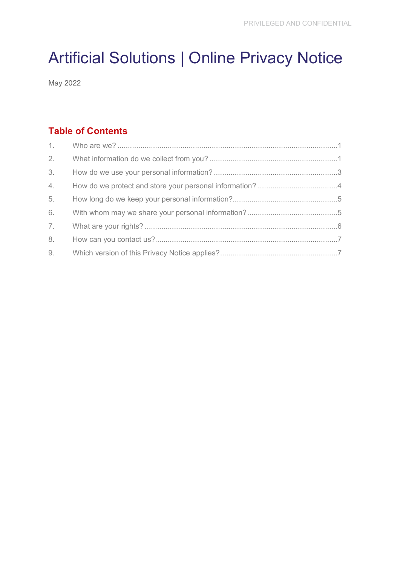# Artificial Solutions | Online Privacy Notice

May 2022

## **Table of Contents**

| 3. |  |
|----|--|
| 4. |  |
| 5. |  |
| 6. |  |
| 7. |  |
| 8. |  |
|    |  |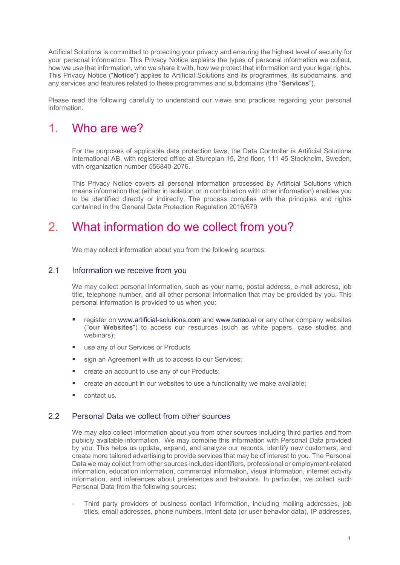Artificial Solutions is committed to protecting your privacy and ensuring the highest level of security for your personal information. This Privacy Notice explains the types of personal information we collect, how we use that information, who we share it with, how we protect that information and your legal rights. This Privacy Notice ("**Notice**") applies to Artificial Solutions and its programmes, its subdomains, and any services and features related to these programmes and subdomains (the "**Services**").

Please read the following carefully to understand our views and practices regarding your personal information.

# <span id="page-1-0"></span>1. Who are we?

For the purposes of applicable data protection laws, the Data Controller is Artificial Solutions International AB, with registered office at Stureplan 15, 2nd floor, 111 45 Stockholm, Sweden, with organization number 556840-2076.

This Privacy Notice covers all personal information processed by Artificial Solutions which means information that (either in isolation or in combination with other information) enables you to be identified directly or indirectly. The process complies with the principles and rights contained in the General Data Protection Regulation 2016/679

# <span id="page-1-1"></span>2. What information do we collect from you?

We may collect information about you from the following sources:

### 2.1 Information we receive from you

We may collect personal information, such as your name, postal address, e-mail address, job title, telephone number, and all other personal information that may be provided by you. This personal information is provided to us when you:

- register on [www.artificial-solutions.com](http://www.artificial-solutions.com/) and www.teneo.ai or any other company websites ("**our Websites**") to access our resources (such as white papers, case studies and webinars);
- **use any of our Services or Products**
- sign an Agreement with us to access to our Services;
- create an account to use any of our Products;
- create an account in our websites to use a functionality we make available;
- contact us.

### 2.2 Personal Data we collect from other sources

We may also collect information about you from other sources including third parties and from publicly available information. We may combine this information with Personal Data provided by you. This helps us update, expand, and analyze our records, identify new customers, and create more tailored advertising to provide services that may be of interest to you. The Personal Data we may collect from other sources includes identifiers, professional or employment-related information, education information, commercial information, visual information, internet activity information, and inferences about preferences and behaviors. In particular, we collect such Personal Data from the following sources:

- Third party providers of business contact information, including mailing addresses, job titles, email addresses, phone numbers, intent data (or user behavior data), IP addresses,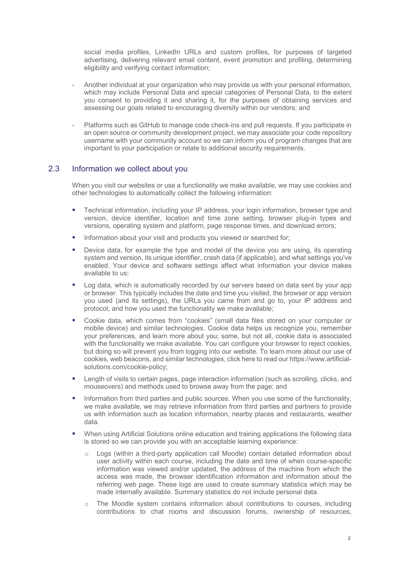social media profiles, LinkedIn URLs and custom profiles, for purposes of targeted advertising, delivering relevant email content, event promotion and profiling, determining eligibility and verifying contact information;

- Another individual at your organization who may provide us with your personal information, which may include Personal Data and special categories of Personal Data, to the extent you consent to providing it and sharing it, for the purposes of obtaining services and assessing our goals related to encouraging diversity within our vendors; and
- Platforms such as GitHub to manage code check-ins and pull requests. If you participate in an open source or community development project, we may associate your code repository username with your community account so we can inform you of program changes that are important to your participation or relate to additional security requirements.

### 2.3 Information we collect about you

When you visit our websites or use a functionality we make available, we may use cookies and other technologies to automatically collect the following information:

- Technical information, including your IP address, your login information, browser type and version, device identifier, location and time zone setting, browser plug-in types and versions, operating system and platform, page response times, and download errors;
- **Information about your visit and products you viewed or searched for;**
- **Device data, for example the type and model of the device you are using, its operating** system and version, its unique identifier, crash data (if applicable), and what settings you've enabled. Your device and software settings affect what information your device makes available to us;
- **Log data, which is automatically recorded by our servers based on data sent by your app** or browser. This typically includes the date and time you visited, the browser or app version you used (and its settings), the URLs you came from and go to, your IP address and protocol, and how you used the functionality we make available;
- Cookie data, which comes from "cookies" (small data files stored on your computer or mobile device) and similar technologies. Cookie data helps us recognize you, remember your preferences, and learn more about you; some, but not all, cookie data is associated with the functionality we make available. You can configure your browser to reject cookies, but doing so will prevent you from logging into our website. To learn more about our use of cookies, web beacons, and similar technologies, click here to read our https://www.artificialsolutions.com/cookie-policy;
- **EXECT** Length of visits to certain pages, page interaction information (such as scrolling, clicks, and mouseovers) and methods used to browse away from the page; and
- Information from third parties and public sources. When you use some of the functionality, we make available, we may retrieve information from third parties and partners to provide us with information such as location information, nearby places and restaurants, weather data.
- **When using Artificial Solutions online education and training applications the following data** is stored so we can provide you with an acceptable learning experience:
	- $\circ$  Logs (within a third-party application call Moodle) contain detailed information about user activity within each course, including the date and time of when course-specific information was viewed and/or updated, the address of the machine from which the access was made, the browser identification information and information about the referring web page. These logs are used to create summary statistics which may be made internally available. Summary statistics do not include personal data.
	- o The Moodle system contains information about contributions to courses, including contributions to chat rooms and discussion forums, ownership of resources,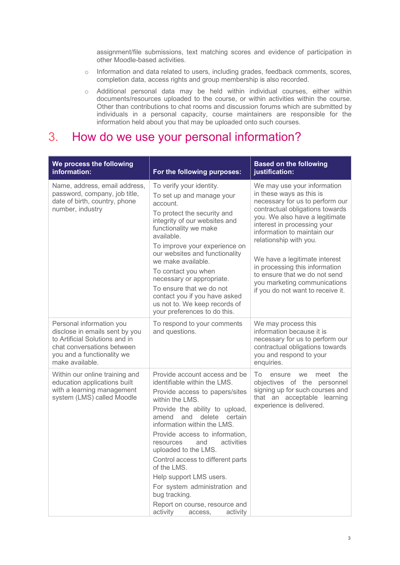assignment/file submissions, text matching scores and evidence of participation in other Moodle-based activities.

- o Information and data related to users, including grades, feedback comments, scores, completion data, access rights and group membership is also recorded.
- o Additional personal data may be held within individual courses, either within documents/resources uploaded to the course, or within activities within the course. Other than contributions to chat rooms and discussion forums which are submitted by individuals in a personal capacity, course maintainers are responsible for the information held about you that may be uploaded onto such courses.

## <span id="page-3-0"></span>3. How do we use your personal information?

| We process the following<br>information:                                                                                                                                    | For the following purposes:                                                                                                                                                                                                                                                                                                                                                                                                                                                                                                | <b>Based on the following</b><br>justification:                                                                                                                                                                                                                                                                                                                                                                                  |
|-----------------------------------------------------------------------------------------------------------------------------------------------------------------------------|----------------------------------------------------------------------------------------------------------------------------------------------------------------------------------------------------------------------------------------------------------------------------------------------------------------------------------------------------------------------------------------------------------------------------------------------------------------------------------------------------------------------------|----------------------------------------------------------------------------------------------------------------------------------------------------------------------------------------------------------------------------------------------------------------------------------------------------------------------------------------------------------------------------------------------------------------------------------|
| Name, address, email address,<br>password, company, job title,<br>date of birth, country, phone<br>number, industry                                                         | To verify your identity.<br>To set up and manage your<br>account.<br>To protect the security and<br>integrity of our websites and<br>functionality we make<br>available.<br>To improve your experience on<br>our websites and functionality<br>we make available.<br>To contact you when<br>necessary or appropriate.<br>To ensure that we do not<br>contact you if you have asked<br>us not to. We keep records of<br>your preferences to do this.                                                                        | We may use your information<br>in these ways as this is<br>necessary for us to perform our<br>contractual obligations towards<br>you. We also have a legitimate<br>interest in processing your<br>information to maintain our<br>relationship with you.<br>We have a legitimate interest<br>in processing this information<br>to ensure that we do not send<br>you marketing communications<br>if you do not want to receive it. |
| Personal information you<br>disclose in emails sent by you<br>to Artificial Solutions and in<br>chat conversations between<br>you and a functionality we<br>make available. | To respond to your comments<br>and questions.                                                                                                                                                                                                                                                                                                                                                                                                                                                                              | We may process this<br>information because it is<br>necessary for us to perform our<br>contractual obligations towards<br>you and respond to your<br>enquiries.                                                                                                                                                                                                                                                                  |
| Within our online training and<br>education applications built<br>with a learning management<br>system (LMS) called Moodle                                                  | Provide account access and be<br>identifiable within the LMS.<br>Provide access to papers/sites<br>within the LMS.<br>Provide the ability to upload,<br>delete<br>amend<br>and<br>certain<br>information within the LMS.<br>Provide access to information,<br>activities<br>resources<br>and<br>uploaded to the LMS.<br>Control access to different parts<br>of the LMS.<br>Help support LMS users.<br>For system administration and<br>bug tracking.<br>Report on course, resource and<br>activity<br>access,<br>activity | To<br>meet<br>the<br>ensure<br>we<br>objectives of the personnel<br>signing up for such courses and<br>that an acceptable learning<br>experience is delivered.                                                                                                                                                                                                                                                                   |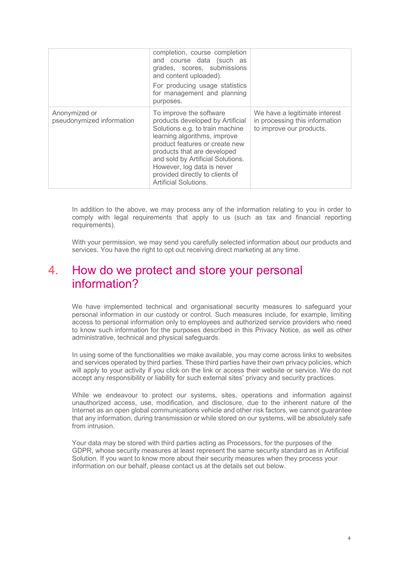|                                            | completion, course completion<br>and course data (such as<br>grades, scores, submissions<br>and content uploaded).<br>For producing usage statistics<br>for management and planning<br>purposes.                                                                                                                                      |                                                                                             |
|--------------------------------------------|---------------------------------------------------------------------------------------------------------------------------------------------------------------------------------------------------------------------------------------------------------------------------------------------------------------------------------------|---------------------------------------------------------------------------------------------|
| Anonymized or<br>pseudonymized information | To improve the software<br>products developed by Artificial<br>Solutions e.g. to train machine<br>learning algorithms, improve<br>product features or create new<br>products that are developed<br>and sold by Artificial Solutions.<br>However, log data is never<br>provided directly to clients of<br><b>Artificial Solutions.</b> | We have a legitimate interest<br>in processing this information<br>to improve our products. |

In addition to the above, we may process any of the information relating to you in order to comply with legal requirements that apply to us (such as tax and financial reporting requirements).

With your permission, we may send you carefully selected information about our products and services. You have the right to opt out receiving direct marketing at any time.

# <span id="page-4-0"></span>4. How do we protect and store your personal information?

We have implemented technical and organisational security measures to safeguard your personal information in our custody or control. Such measures include, for example, limiting access to personal information only to employees and authorized service providers who need to know such information for the purposes described in this Privacy Notice, as well as other administrative, technical and physical safeguards.

In using some of the functionalities we make available, you may come across links to websites and services operated by third parties. These third parties have their own privacy policies, which will apply to your activity if you click on the link or access their website or service. We do not accept any responsibility or liability for such external sites' privacy and security practices.

While we endeavour to protect our systems, sites, operations and information against unauthorized access, use, modification, and disclosure, due to the inherent nature of the Internet as an open global communications vehicle and other risk factors, we cannot guarantee that any information, during transmission or while stored on our systems, will be absolutely safe from intrusion.

Your data may be stored with third parties acting as Processors, for the purposes of the GDPR, whose security measures at least represent the same security standard as in Artificial Solution. If you want to know more about their security measures when they process your information on our behalf, please contact us at the details set out below.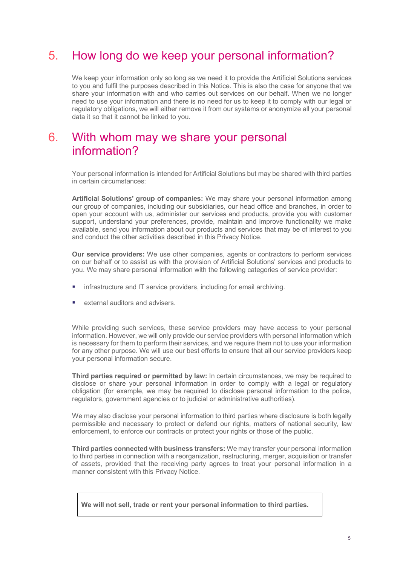# <span id="page-5-0"></span>5. How long do we keep your personal information?

We keep your information only so long as we need it to provide the Artificial Solutions services to you and fulfil the purposes described in this Notice. This is also the case for anyone that we share your information with and who carries out services on our behalf. When we no longer need to use your information and there is no need for us to keep it to comply with our legal or regulatory obligations, we will either remove it from our systems or anonymize all your personal data it so that it cannot be linked to you.

## <span id="page-5-1"></span>6. With whom may we share your personal information?

Your personal information is intended for Artificial Solutions but may be shared with third parties in certain circumstances:

**Artificial Solutions' group of companies:** We may share your personal information among our group of companies, including our subsidiaries, our head office and branches, in order to open your account with us, administer our services and products, provide you with customer support, understand your preferences, provide, maintain and improve functionality we make available, send you information about our products and services that may be of interest to you and conduct the other activities described in this Privacy Notice.

**Our service providers:** We use other companies, agents or contractors to perform services on our behalf or to assist us with the provision of Artificial Solutions' services and products to you. We may share personal information with the following categories of service provider:

- infrastructure and IT service providers, including for email archiving.
- external auditors and advisers.

While providing such services, these service providers may have access to your personal information. However, we will only provide our service providers with personal information which is necessary for them to perform their services, and we require them not to use your information for any other purpose. We will use our best efforts to ensure that all our service providers keep your personal information secure.

**Third parties required or permitted by law:** In certain circumstances, we may be required to disclose or share your personal information in order to comply with a legal or regulatory obligation (for example, we may be required to disclose personal information to the police, regulators, government agencies or to judicial or administrative authorities).

We may also disclose your personal information to third parties where disclosure is both legally permissible and necessary to protect or defend our rights, matters of national security, law enforcement, to enforce our contracts or protect your rights or those of the public.

**Third parties connected with business transfers:** We may transfer your personal information to third parties in connection with a reorganization, restructuring, merger, acquisition or transfer of assets, provided that the receiving party agrees to treat your personal information in a manner consistent with this Privacy Notice.

| We will not sell, trade or rent your personal information to third parties. |  |  |  |
|-----------------------------------------------------------------------------|--|--|--|
|                                                                             |  |  |  |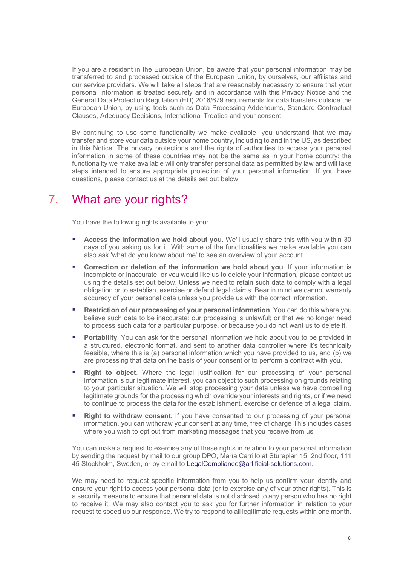If you are a resident in the European Union, be aware that your personal information may be transferred to and processed outside of the European Union, by ourselves, our affiliates and our service providers. We will take all steps that are reasonably necessary to ensure that your personal information is treated securely and in accordance with this Privacy Notice and the General Data Protection Regulation (EU) 2016/679 requirements for data transfers outside the European Union, by using tools such as Data Processing Addendums, Standard Contractual Clauses, Adequacy Decisions, International Treaties and your consent.

By continuing to use some functionality we make available, you understand that we may transfer and store your data outside your home country, including to and in the US, as described in this Notice. The privacy protections and the rights of authorities to access your personal information in some of these countries may not be the same as in your home country; the functionality we make available will only transfer personal data as permitted by law and will take steps intended to ensure appropriate protection of your personal information. If you have questions, please contact us at the details set out below.

# <span id="page-6-0"></span>7. What are your rights?

You have the following rights available to you:

- **Access the information we hold about you**. We'll usually share this with you within 30 days of you asking us for it. With some of the functionalities we make available you can also ask 'what do you know about me' to see an overview of your account.
- **Correction or deletion of the information we hold about you**. If your information is incomplete or inaccurate, or you would like us to delete your information, please contact us using the details set out below. Unless we need to retain such data to comply with a legal obligation or to establish, exercise or defend legal claims. Bear in mind we cannot warranty accuracy of your personal data unless you provide us with the correct information.
- **Restriction of our processing of your personal information**. You can do this where you believe such data to be inaccurate; our processing is unlawful; or that we no longer need to process such data for a particular purpose, or because you do not want us to delete it.
- **Portability**. You can ask for the personal information we hold about you to be provided in a structured, electronic format, and sent to another data controller where it's technically feasible, where this is (a) personal information which you have provided to us, and (b) we are processing that data on the basis of your consent or to perform a contract with you.
- **Right to object**. Where the legal justification for our processing of your personal information is our legitimate interest, you can object to such processing on grounds relating to your particular situation. We will stop processing your data unless we have compelling legitimate grounds for the processing which override your interests and rights, or if we need to continue to process the data for the establishment, exercise or defence of a legal claim.
- **Right to withdraw consent**. If you have consented to our processing of your personal information, you can withdraw your consent at any time, free of charge This includes cases where you wish to opt out from marketing messages that you receive from us.

You can make a request to exercise any of these rights in relation to your personal information by sending the request by mail to our group DPO, María Carrillo at Stureplan 15, 2nd floor, 111 45 Stockholm, Sweden, or by email to [LegalCompliance@artificial-solutions.com.](mailto:LegalCompliance@artificial-solutions.com)

We may need to request specific information from you to help us confirm your identity and ensure your right to access your personal data (or to exercise any of your other rights). This is a security measure to ensure that personal data is not disclosed to any person who has no right to receive it. We may also contact you to ask you for further information in relation to your request to speed up our response. We try to respond to all legitimate requests within one month.